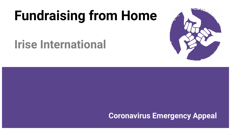# **Fundraising from Home**

## **Irise International**

**Coronavirus Emergency Appeal**

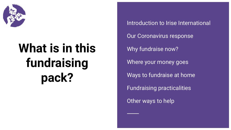

# **What is in this fundraising pack?**

Introduction to Irise International Our Coronavirus response Why fundraise now? Where your money goes Ways to fundraise at home Fundraising practicalities Other ways to help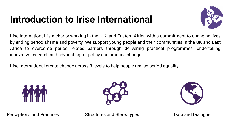### **Introduction to Irise International**



Irise International is a charity working in the U.K. and Eastern Africa with a commitment to changing lives by ending period shame and poverty. We support young people and their communities in the UK and East Africa to overcome period related barriers through delivering practical programmes, undertaking innovative research and advocating for policy and practice change.

Irise International create change across 3 levels to help people realise period equality:







Perceptions and Practices Structures and Stereotypes Data and Dialogue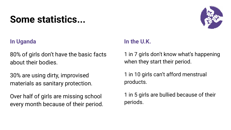### **Some statistics...**



#### **In Uganda**

80% of girls don't have the basic facts about their bodies.

30% are using dirty, improvised materials as sanitary protection.

Over half of girls are missing school every month because of their period.

#### **In the U.K.**

1 in 7 girls don't know what's happening when they start their period.

1 in 10 girls can't afford menstrual products.

1 in 5 girls are bullied because of their periods.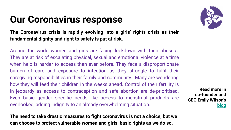### **Our Coronavirus response**

**The Coronavirus crisis is rapidly evolving into a girls' rights crisis as their fundamental dignity and right to safety is put at risk.**

Around the world women and girls are facing lockdown with their abusers. They are at risk of escalating physical, sexual and emotional violence at a time when help is harder to access than ever before. They face a disproportionate burden of care and exposure to infection as they struggle to fulfil their caregiving responsibilities in their family and community. Many are wondering how they will feed their children in the weeks ahead. Control of their fertility is in jeopardy as access to contraception and safe abortion are de-prioritised. Even basic gender specific needs like access to menstrual products are overlooked, adding indignity to an already overwhelming situation.

**The need to take drastic measures to fight coronavirus is not a choice, but we can choose to protect vulnerable women and girls' basic rights as we do so.**



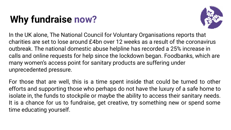## **Why fundraise now?**



In the UK alone, The National Council for Voluntary Organisations reports that charities are set to lose around £4bn over 12 weeks as a result of the coronavirus outbreak. The national domestic abuse helpline has recorded a 25% increase in calls and online requests for help since the lockdown began. Foodbanks, which are many women's access point for sanitary products are suffering under unprecedented pressure.

For those that are well, this is a time spent inside that could be turned to other efforts and supporting those who perhaps do not have the luxury of a safe home to isolate in, the funds to stockpile or maybe the ability to access their sanitary needs. It is a chance for us to fundraise, get creative, try something new or spend some time educating yourself.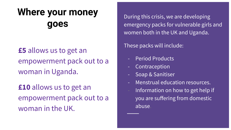### **Where your money goes**

### **£5** allows us to get an empowerment pack out to a woman in Uganda.

**£10** allows us to get an empowerment pack out to a woman in the UK.

During this crisis, we are developing emergency packs for vulnerable girls and women both in the UK and Uganda.

These packs will include:

- Period Products
- Contraception
- Soap & Sanitiser
- Menstrual education resources.
- Information on how to get help if you are suffering from domestic abuse.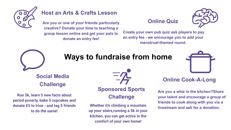

#### **Host an Arts & Crafts Lesson**

**Are you or one of your friends particularly creative? Donate your time to teaching a group lesson online and get your pals to donate an entry fee!**

#### **Online Quiz**



**Create your own pub quiz ask players to pay an entry fee - we encourage you to add your menstrual-themed round.**



### **Ways to fundraise from home**

**Social Media Challenge**

**Run 5k, learn 5 new facts about period poverty, bake 5 cupcakes and donate £5 to Irise - and tag 5 friends to do the same!**



#### **Sponsored Sports Challenge**

**up your stairs,running a 5k in your kitchen, you can get active in the comfort of your own home!**



#### **Online Cook-A-Long**

**Are you a whiz in the kitchen?Share your talent and encourage a group of friends to cook along with you via a livestream and ask for a donation. Whether it's climbing a mountain**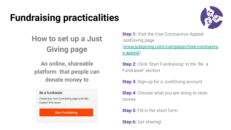## **Fundraising practicalities**



### **How to set up a Just Giving page**

**An online, shareable platform that people can donate money to** 

#### Be a fundraiser

Create your own fundraising page and help support this cause

#### **Start Fundraising**

**Step 1:** Visit the Irise Coronavirus Appeal JustGiving page [\(www.justgiving.com/campaign/Irise-coronaviru](http://www.justgiving.com/campaign/Irise-coronavirus-appeal) [s-appeal](http://www.justgiving.com/campaign/Irise-coronavirus-appeal))

**Step 2:** Click 'Start Fundraising' in the 'Be a Fundraiser' section

**Step 3:** Sign-up for a JustGiving account

**Step 4:** Choose what you are doing to raise money

**Step 5:** Fill in the short form

**Step 6:** Get sharing!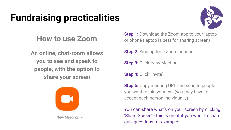## **Fundraising practicalities**



### **How to use Zoom**

**An online, chat-room allows you to see and speak to people, with the option to share your screen** 



**Step 1:** Download the Zoom app to your laptop or phone (laptop is best for sharing screen)

**Step 2:** Sign-up for a Zoom account

**Step 3:** Click 'New Meeting'

**Step 4: Click 'Invite'** 

**Step 5:** Copy meeting URL and send to people you want to join your call (you may have to accept each person individually)

You can share what's on your screen by clicking 'Share Screen' - this is great if you want to share quiz questions for example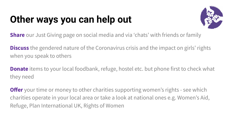## **Other ways you can help out**



**Share** our Just Giving page on social media and via 'chats' with friends or family

**Discuss** the gendered nature of the Coronavirus crisis and the impact on girls' rights when you speak to others

**Donate** items to your local foodbank, refuge, hostel etc. but phone first to check what they need

**Offer** your time or money to other charities supporting women's rights - see which charities operate in your local area or take a look at national ones e.g. Women's Aid, Refuge, Plan International UK, Rights of Women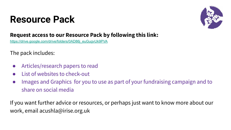### **Resource Pack**



#### **Request access to our Resource Pack by following this link:**

[https://drive.google.com/drive/folders/0AD86j\\_euGugvUk9PVA](https://drive.google.com/drive/folders/0AD86j_euGugvUk9PVA)

The pack includes:

- Articles/research papers to read
- List of websites to check-out
- Images and Graphics for you to use as part of your fundraising campaign and to share on social media

If you want further advice or resources, or perhaps just want to know more about our work, email acushla@irise.org.uk